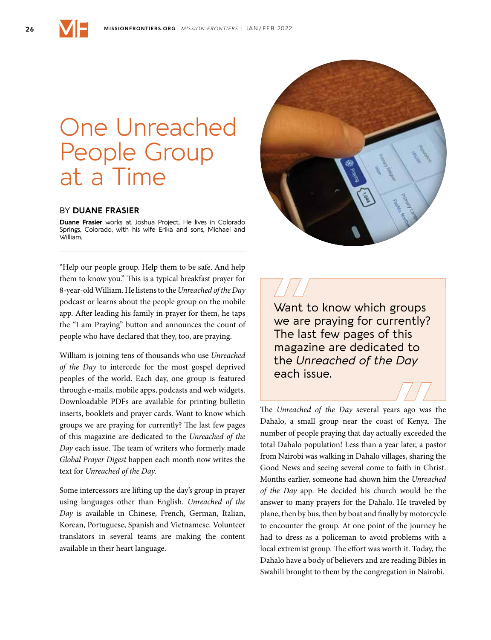## One Unreached People Group at a Time

## BY **DUANE FRASIER**

**Duane Frasier** works at Joshua Project. He lives in Colorado Springs, Colorado, with his wife Erika and sons, Michael and William.

"Help our people group. Help them to be safe. And help them to know you." This is a typical breakfast prayer for 8-year-old William. He listens to the *Unreached of the Day* podcast or learns about the people group on the mobile app. After leading his family in prayer for them, he taps the "I am Praying" button and announces the count of people who have declared that they, too, are praying.

William is joining tens of thousands who use *Unreached of the Day* to intercede for the most gospel deprived peoples of the world. Each day, one group is featured through e-mails, mobile apps, podcasts and web widgets. Downloadable PDFs are available for printing bulletin inserts, booklets and prayer cards. Want to know which groups we are praying for currently? The last few pages of this magazine are dedicated to the *Unreached of the Day* each issue. The team of writers who formerly made *Global Prayer Digest* happen each month now writes the text for *Unreached of the Day*.

Some intercessors are lifting up the day's group in prayer using languages other than English. *Unreached of the Day* is available in Chinese, French, German, Italian, Korean, Portuguese, Spanish and Vietnamese. Volunteer translators in several teams are making the content available in their heart language.



Want to know which groups we are praying for currently? The last few pages of this magazine are dedicated to the *Unreached of the Day* each issue.

The *Unreached of the Day* several years ago was the Dahalo, a small group near the coast of Kenya. The number of people praying that day actually exceeded the total Dahalo population! Less than a year later, a pastor from Nairobi was walking in Dahalo villages, sharing the Good News and seeing several come to faith in Christ. Months earlier, someone had shown him the *Unreached of the Day* app. He decided his church would be the answer to many prayers for the Dahalo. He traveled by plane, then by bus, then by boat and finally by motorcycle to encounter the group. At one point of the journey he had to dress as a policeman to avoid problems with a local extremist group. The effort was worth it. Today, the Dahalo have a body of believers and are reading Bibles in Swahili brought to them by the congregation in Nairobi.